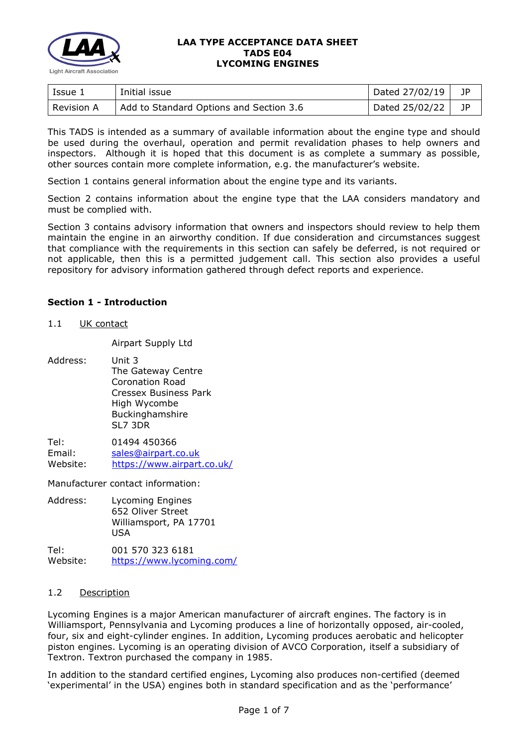

| Issue 1    | Initial issue                           | Dated 27/02/19 | 1P   |
|------------|-----------------------------------------|----------------|------|
| Revision A | Add to Standard Options and Section 3.6 | Dated 25/02/22 | - 1P |

This TADS is intended as a summary of available information about the engine type and should be used during the overhaul, operation and permit revalidation phases to help owners and inspectors. Although it is hoped that this document is as complete a summary as possible, other sources contain more complete information, e.g. the manufacturer's website.

Section 1 contains general information about the engine type and its variants.

Section 2 contains information about the engine type that the LAA considers mandatory and must be complied with.

Section 3 contains advisory information that owners and inspectors should review to help them maintain the engine in an airworthy condition. If due consideration and circumstances suggest that compliance with the requirements in this section can safely be deferred, is not required or not applicable, then this is a permitted judgement call. This section also provides a useful repository for advisory information gathered through defect reports and experience.

### **Section 1 - Introduction**

1.1 UK contact

Airpart Supply Ltd

Address: Unit 3 The Gateway Centre Coronation Road Cressex Business Park High Wycombe **Buckinghamshire** SL7 3DR

Tel: 01494 450366 Email: [sales@airpart.co.uk](mailto:sales@airpart.co.uk)<br>Website: https://www.airpart <https://www.airpart.co.uk/>

Manufacturer contact information:

Address: Lycoming Engines 652 Oliver Street Williamsport, PA 17701 USA

Tel: 001 570 323 6181 Website: <https://www.lycoming.com/>

### 1.2 Description

Lycoming Engines is a major American manufacturer of aircraft engines. The factory is in Williamsport, Pennsylvania and Lycoming produces a line of horizontally opposed, air-cooled, four, six and eight-cylinder engines. In addition, Lycoming produces aerobatic and helicopter piston engines. Lycoming is an operating division of AVCO Corporation, itself a subsidiary of Textron. Textron purchased the company in 1985.

In addition to the standard certified engines, Lycoming also produces non-certified (deemed 'experimental' in the USA) engines both in standard specification and as the 'performance'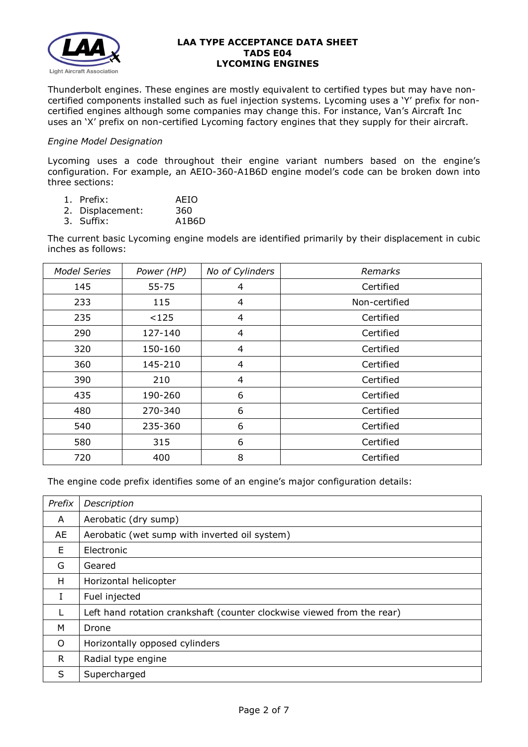

Thunderbolt engines. These engines are mostly equivalent to certified types but may have noncertified components installed such as fuel injection systems. Lycoming uses a 'Y' prefix for noncertified engines although some companies may change this. For instance, Van's Aircraft Inc uses an 'X' prefix on non-certified Lycoming factory engines that they supply for their aircraft.

## *Engine Model Designation*

Lycoming uses a code throughout their engine variant numbers based on the engine's configuration. For example, an AEIO-360-A1B6D engine model's code can be broken down into three sections:

- 1. Prefix: AEIO
- 2. Displacement: 360<br>3. Suffix: A1B6D
- 3. Suffix:

The current basic Lycoming engine models are identified primarily by their displacement in cubic inches as follows:

| <b>Model Series</b> | Power (HP) | No of Cylinders | Remarks       |
|---------------------|------------|-----------------|---------------|
| 145                 | $55 - 75$  | 4               | Certified     |
| 233                 | 115        | 4               | Non-certified |
| 235                 | < 125      | 4               | Certified     |
| 290                 | 127-140    | 4               | Certified     |
| 320                 | 150-160    | 4               | Certified     |
| 360                 | 145-210    | 4               | Certified     |
| 390                 | 210        | 4               | Certified     |
| 435                 | 190-260    | 6               | Certified     |
| 480                 | 270-340    | 6               | Certified     |
| 540                 | 235-360    | 6               | Certified     |
| 580                 | 315        | 6               | Certified     |
| 720                 | 400        | 8               | Certified     |

The engine code prefix identifies some of an engine's major configuration details:

| Prefix | Description                                                            |
|--------|------------------------------------------------------------------------|
| A      | Aerobatic (dry sump)                                                   |
| AE     | Aerobatic (wet sump with inverted oil system)                          |
| E      | Electronic                                                             |
| G      | Geared                                                                 |
| H      | Horizontal helicopter                                                  |
| I      | Fuel injected                                                          |
|        | Left hand rotation crankshaft (counter clockwise viewed from the rear) |
| м      | Drone                                                                  |
| O      | Horizontally opposed cylinders                                         |
| R      | Radial type engine                                                     |
| S      | Supercharged                                                           |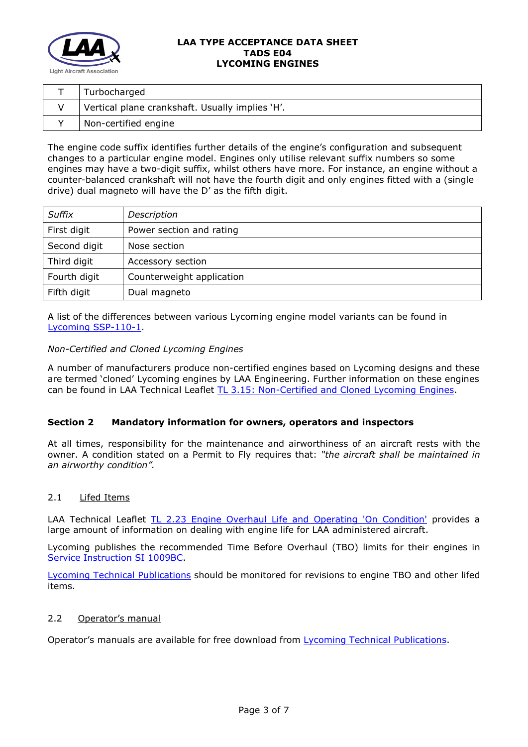

| Turbocharged                                    |
|-------------------------------------------------|
| Vertical plane crankshaft. Usually implies 'H'. |
| Non-certified engine                            |

The engine code suffix identifies further details of the engine's configuration and subsequent changes to a particular engine model. Engines only utilise relevant suffix numbers so some engines may have a two-digit suffix, whilst others have more. For instance, an engine without a counter-balanced crankshaft will not have the fourth digit and only engines fitted with a (single drive) dual magneto will have the D' as the fifth digit.

| <b>Suffix</b> | Description               |
|---------------|---------------------------|
| First digit   | Power section and rating  |
| Second digit  | Nose section              |
| Third digit   | Accessory section         |
| Fourth digit  | Counterweight application |
| Fifth digit   | Dual magneto              |

A list of the differences between various Lycoming engine model variants can be found in [Lycoming SSP-110-1.](file://DELLSBS2011/LAA%20Data/Home/ENGINEER/TADS/_In%20draft/9xx%20LYCOMING/9xx/SSP-110-1%20Certificated%20Engines.pdf)

# *Non-Certified and Cloned Lycoming Engines*

A number of manufacturers produce non-certified engines based on Lycoming designs and these are termed 'cloned' Lycoming engines by LAA Engineering. Further information on these engines can be found in LAA Technical Leaflet [TL 3.15: Non-Certified and Cloned Lycoming Engines.](http://www.lightaircraftassociation.co.uk/engineering/TechnicalLeaflets/Mods%20and%20Repairs/TL%203.15%20Non-certified%20Lycoming%20Engines.pdf)

# **Section 2 Mandatory information for owners, operators and inspectors**

At all times, responsibility for the maintenance and airworthiness of an aircraft rests with the owner. A condition stated on a Permit to Fly requires that: *"the aircraft shall be maintained in an airworthy condition".* 

### 2.1 Lifed Items

LAA Technical Leaflet [TL 2.23 Engine Overhaul Life and Operating 'On Condition'](http://www.lightaircraftassociation.co.uk/engineering/TechnicalLeaflets/Operating%20An%20Aircraft/TL%202%2023%20Engine%20overhaul%20life%20and%20operating%20on-condition.pdf) provides a large amount of information on dealing with engine life for LAA administered aircraft.

Lycoming publishes the recommended Time Before Overhaul (TBO) limits for their engines in [Service Instruction SI 1009BC.](file://DELLSBS2011/LAA%20Data/Home/ENGINEER/TADS/_In%20draft/9xx%20LYCOMING/9xx/SI1009BC%20TBO%20Schedule.pdf)

[Lycoming Technical Publications](https://www.lycoming.com/contact/knowledge-base/publications?field_category_tid=60) should be monitored for revisions to engine TBO and other lifed items.

## 2.2 Operator's manual

Operator's manuals are available for free download from [Lycoming Technical Publications.](https://www.lycoming.com/contact/knowledge-base/publications?field_category_tid=60)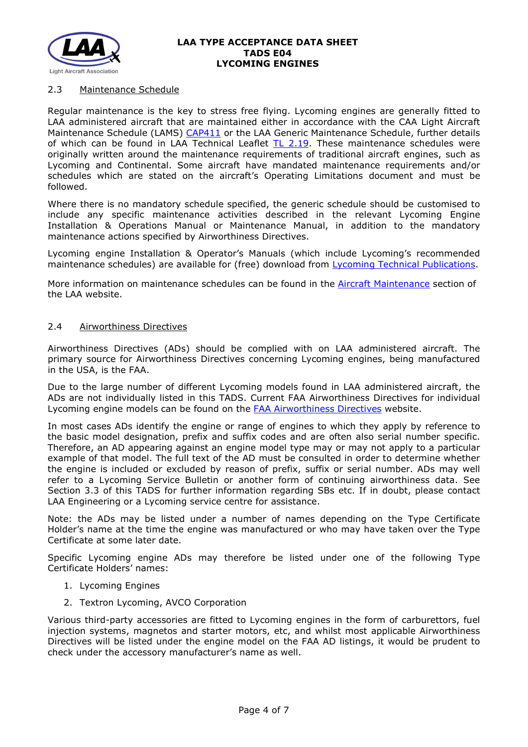

## 2.3 Maintenance Schedule

Regular maintenance is the key to stress free flying. Lycoming engines are generally fitted to LAA administered aircraft that are maintained either in accordance with the CAA Light Aircraft Maintenance Schedule (LAMS) [CAP411](http://www.caa.co.uk/CAP411) or the LAA Generic Maintenance Schedule, further details of which can be found in LAA Technical Leaflet [TL 2.19.](http://www.lightaircraftassociation.co.uk/engineering/TechnicalLeaflets/Operating%20An%20Aircraft/TL%202.19%20The%20LAA%20Generic%20Maintenance%20Schedule.pdf) These maintenance schedules were originally written around the maintenance requirements of traditional aircraft engines, such as Lycoming and Continental. Some aircraft have mandated maintenance requirements and/or schedules which are stated on the aircraft's Operating Limitations document and must be followed.

Where there is no mandatory schedule specified, the generic schedule should be customised to include any specific maintenance activities described in the relevant Lycoming Engine Installation & Operations Manual or Maintenance Manual, in addition to the mandatory maintenance actions specified by Airworthiness Directives.

Lycoming engine Installation & Operator's Manuals (which include Lycoming's recommended maintenance schedules) are available for (free) download from [Lycoming Technical Publications.](https://www.lycoming.com/contact/knowledge-base/publications?field_category_tid=60)

More information on maintenance schedules can be found in the [Aircraft Maintenance](http://www.lightaircraftassociation.co.uk/engineering/Maintenance/Aircraft_Maintenance.html) section of the LAA website.

### 2.4 Airworthiness Directives

Airworthiness Directives (ADs) should be complied with on LAA administered aircraft. The primary source for Airworthiness Directives concerning Lycoming engines, being manufactured in the USA, is the FAA.

Due to the large number of different Lycoming models found in LAA administered aircraft, the ADs are not individually listed in this TADS. Current FAA Airworthiness Directives for individual Lycoming engine models can be found on the [FAA Airworthiness Directives](http://rgl.faa.gov/Regulatory_and_Guidance_Library/rgAD.nsf/Frameset?OpenPage) website.

In most cases ADs identify the engine or range of engines to which they apply by reference to the basic model designation, prefix and suffix codes and are often also serial number specific. Therefore, an AD appearing against an engine model type may or may not apply to a particular example of that model. The full text of the AD must be consulted in order to determine whether the engine is included or excluded by reason of prefix, suffix or serial number. ADs may well refer to a Lycoming Service Bulletin or another form of continuing airworthiness data. See Section 3.3 of this TADS for further information regarding SBs etc. If in doubt, please contact LAA Engineering or a Lycoming service centre for assistance.

Note: the ADs may be listed under a number of names depending on the Type Certificate Holder's name at the time the engine was manufactured or who may have taken over the Type Certificate at some later date.

Specific Lycoming engine ADs may therefore be listed under one of the following Type Certificate Holders' names:

- 1. Lycoming Engines
- 2. Textron Lycoming, AVCO Corporation

Various third-party accessories are fitted to Lycoming engines in the form of carburettors, fuel injection systems, magnetos and starter motors, etc, and whilst most applicable Airworthiness Directives will be listed under the engine model on the FAA AD listings, it would be prudent to check under the accessory manufacturer's name as well.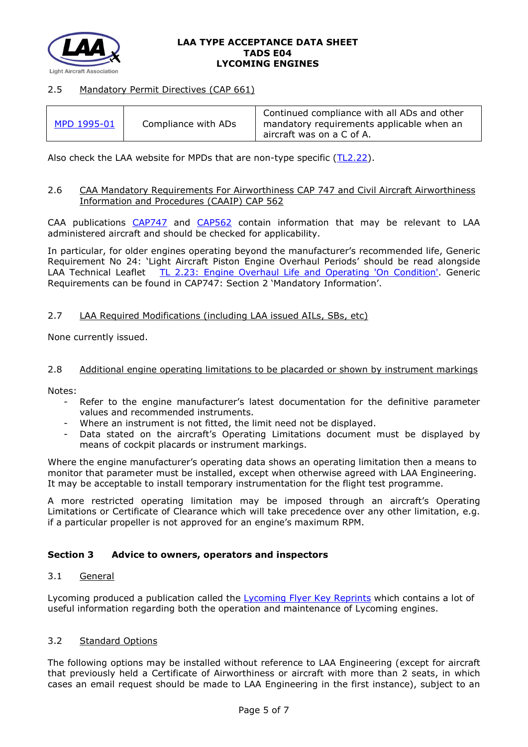

## 2.5 Mandatory Permit Directives (CAP 661)

| MPD 1995-01 | Compliance with ADs | Continued compliance with all ADs and other<br>mandatory requirements applicable when an<br>aircraft was on a C of A. |
|-------------|---------------------|-----------------------------------------------------------------------------------------------------------------------|
|-------------|---------------------|-----------------------------------------------------------------------------------------------------------------------|

Also check the LAA website for MPDs that are non-type specific [\(TL2.22\)](http://www.lightaircraftassociation.co.uk/engineering/TechnicalLeaflets/Operating%20An%20Aircraft/TL%202.22%20non-type%20specific%20MPDs.pdf).

#### 2.6 CAA Mandatory Requirements For Airworthiness CAP 747 and Civil Aircraft Airworthiness Information and Procedures (CAAIP) CAP 562

CAA publications [CAP747](http://www.caa.co.uk/CAP747) and [CAP562](http://www.caa.co.uk/CAP562) contain information that may be relevant to LAA administered aircraft and should be checked for applicability.

In particular, for older engines operating beyond the manufacturer's recommended life, Generic Requirement No 24: 'Light Aircraft Piston Engine Overhaul Periods' should be read alongside LAA Technical Leaflet [TL 2.23: Engine Overhaul Life and Operating 'On Condition'.](http://www.lightaircraftassociation.co.uk/engineering/TechnicalLeaflets/Operating%20An%20Aircraft/TL%202%2023%20Engine%20overhaul%20life%20and%20operating%20on-condition.pdf) Generic Requirements can be found in CAP747: Section 2 'Mandatory Information'.

### 2.7 LAA Required Modifications (including LAA issued AILs, SBs, etc)

None currently issued.

#### 2.8 Additional engine operating limitations to be placarded or shown by instrument markings

Notes:

- Refer to the engine manufacturer's latest documentation for the definitive parameter values and recommended instruments.
- Where an instrument is not fitted, the limit need not be displayed.
- Data stated on the aircraft's Operating Limitations document must be displayed by means of cockpit placards or instrument markings.

Where the engine manufacturer's operating data shows an operating limitation then a means to monitor that parameter must be installed, except when otherwise agreed with LAA Engineering. It may be acceptable to install temporary instrumentation for the flight test programme.

A more restricted operating limitation may be imposed through an aircraft's Operating Limitations or Certificate of Clearance which will take precedence over any other limitation, e.g. if a particular propeller is not approved for an engine's maximum RPM.

### **Section 3 Advice to owners, operators and inspectors**

### 3.1 General

Lycoming produced a publication called the [Lycoming Flyer Key Reprints](file://DELLSBS2011/LAA%20Data/Home/ENGINEER/TADS/_In%20draft/9xx%20LYCOMING/9xx/Lycoming%20Flyer%20Key%20Reprints.pdf) which contains a lot of useful information regarding both the operation and maintenance of Lycoming engines.

# 3.2 Standard Options

The following options may be installed without reference to LAA Engineering (except for aircraft that previously held a Certificate of Airworthiness or aircraft with more than 2 seats, in which cases an email request should be made to LAA Engineering in the first instance), subject to an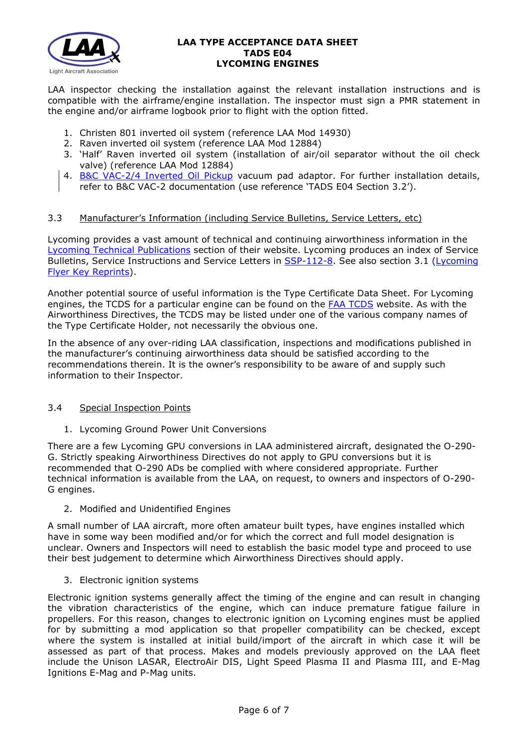

LAA inspector checking the installation against the relevant installation instructions and is compatible with the airframe/engine installation. The inspector must sign a PMR statement in the engine and/or airframe logbook prior to flight with the option fitted.

- 1. Christen 801 inverted oil system (reference LAA Mod 14930)
- 2. Raven inverted oil system (reference LAA Mod 12884)
- 3. 'Half' Raven inverted oil system (installation of air/oil separator without the oil check valve) (reference LAA Mod 12884)
- 4. [B&C VAC-2/4 Inverted Oil Pickup](https://bandc.com/product/bc704-h-inverted-oil-pickup-4-cylinder-lycoming/) vacuum pad adaptor. For further installation details, refer to B&C VAC-2 documentation (use reference 'TADS E04 Section 3.2').

# 3.3 Manufacturer's Information (including Service Bulletins, Service Letters, etc)

Lycoming provides a vast amount of technical and continuing airworthiness information in the [Lycoming Technical Publications](https://www.lycoming.com/contact/knowledge-base/publications) section of their website. Lycoming produces an index of Service Bulletins, Service Instructions and Service Letters in [SSP-112-8.](https://www.lycoming.com/SSP-112-8_INDEX_SERVICE_BULLETINS_LETTERS_AND_INSTRUCTIONS) See also section 3.1 [\(Lycoming](file://DELLSBS2011/LAA%20Data/Home/ENGINEER/TADS/_In%20draft/9xx%20LYCOMING/9xx/Lycoming%20Flyer%20Key%20Reprints.pdf)  [Flyer Key Reprints\)](file://DELLSBS2011/LAA%20Data/Home/ENGINEER/TADS/_In%20draft/9xx%20LYCOMING/9xx/Lycoming%20Flyer%20Key%20Reprints.pdf).

Another potential source of useful information is the Type Certificate Data Sheet. For Lycoming engines, the TCDS for a particular engine can be found on the [FAA TCDS](http://rgl.faa.gov/Regulatory_and_Guidance_Library/rgMakeModel.nsf/Frameset?OpenPage) website. As with the Airworthiness Directives, the TCDS may be listed under one of the various company names of the Type Certificate Holder, not necessarily the obvious one.

In the absence of any over-riding LAA classification, inspections and modifications published in the manufacturer's continuing airworthiness data should be satisfied according to the recommendations therein. It is the owner's responsibility to be aware of and supply such information to their Inspector.

### 3.4 Special Inspection Points

1. Lycoming Ground Power Unit Conversions

There are a few Lycoming GPU conversions in LAA administered aircraft, designated the O-290- G. Strictly speaking Airworthiness Directives do not apply to GPU conversions but it is recommended that O-290 ADs be complied with where considered appropriate. Further technical information is available from the LAA, on request, to owners and inspectors of O-290- G engines.

2. Modified and Unidentified Engines

A small number of LAA aircraft, more often amateur built types, have engines installed which have in some way been modified and/or for which the correct and full model designation is unclear. Owners and Inspectors will need to establish the basic model type and proceed to use their best judgement to determine which Airworthiness Directives should apply.

### 3. Electronic ignition systems

Electronic ignition systems generally affect the timing of the engine and can result in changing the vibration characteristics of the engine, which can induce premature fatigue failure in propellers. For this reason, changes to electronic ignition on Lycoming engines must be applied for by submitting a mod application so that propeller compatibility can be checked, except where the system is installed at initial build/import of the aircraft in which case it will be assessed as part of that process. Makes and models previously approved on the LAA fleet include the Unison LASAR, ElectroAir DIS, Light Speed Plasma II and Plasma III, and E-Mag Ignitions E-Mag and P-Mag units.